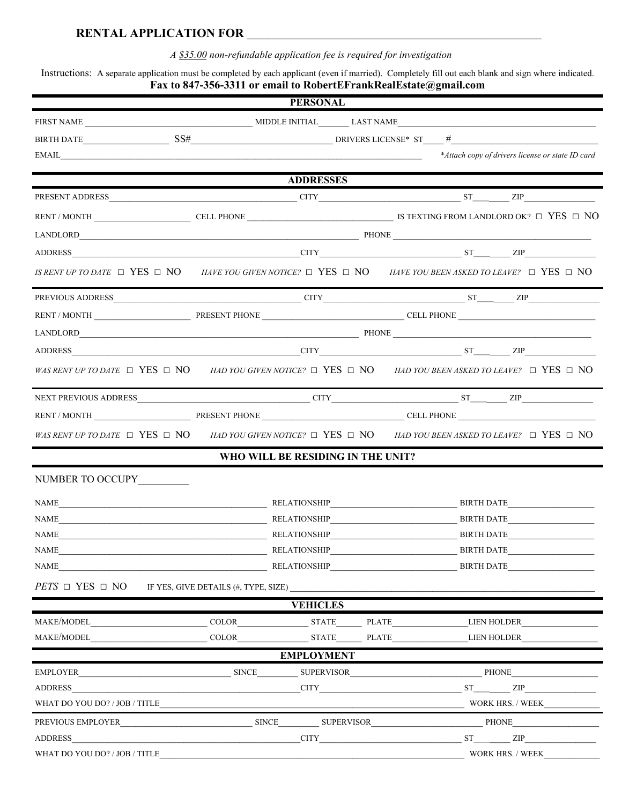## **RENTAL APPLICATION FOR** \_\_\_\_\_\_\_\_\_\_\_\_\_\_\_\_\_\_\_\_\_\_\_\_\_\_\_\_\_\_\_\_\_\_\_\_\_\_\_\_\_\_\_\_\_\_\_\_\_\_\_\_\_\_\_\_\_\_

*A \$35.00 non-refundable application fee is required for investigation* 

Instructions: A separate application must be completed by each applicant (even if married). Completely fill out each blank and sign where indicated. **Fax to 847-356-3311 or email to RobertEFrankRealEstate@gmail.com**

|                                                                                                                                                                                                                                                                                                                                                |                                      | <b>PERSONAL</b>                                                                                         |                       | $\sim$ . $\sim$ . $\sim$ . $\sim$ . $\sim$ . $\sim$ . $\sim$ . $\sim$ . $\sim$ . $\sim$ . $\sim$ . $\sim$ . $\sim$ . $\sim$ . $\sim$ . $\sim$ . $\sim$ . $\sim$ . $\sim$ . $\sim$ . $\sim$ . $\sim$ . $\sim$ . $\sim$ . $\sim$ . $\sim$ . $\sim$ . $\sim$ . $\sim$ . $\sim$ . $\sim$ . $\sim$ |                   |                                                  |
|------------------------------------------------------------------------------------------------------------------------------------------------------------------------------------------------------------------------------------------------------------------------------------------------------------------------------------------------|--------------------------------------|---------------------------------------------------------------------------------------------------------|-----------------------|-----------------------------------------------------------------------------------------------------------------------------------------------------------------------------------------------------------------------------------------------------------------------------------------------|-------------------|--------------------------------------------------|
|                                                                                                                                                                                                                                                                                                                                                |                                      |                                                                                                         |                       |                                                                                                                                                                                                                                                                                               |                   |                                                  |
|                                                                                                                                                                                                                                                                                                                                                |                                      |                                                                                                         |                       |                                                                                                                                                                                                                                                                                               |                   |                                                  |
| $EML$ $\qquad \qquad$ $\qquad \qquad$ $\qquad$ $\qquad$ $\qquad$ $\qquad$ $\qquad$ $\qquad$ $\qquad$ $\qquad$ $\qquad$ $\qquad$ $\qquad$ $\qquad$ $\qquad$ $\qquad$ $\qquad$ $\qquad$ $\qquad$ $\qquad$ $\qquad$ $\qquad$ $\qquad$ $\qquad$ $\qquad$ $\qquad$ $\qquad$ $\qquad$ $\qquad$ $\qquad$ $\qquad$ $\qquad$ $\qquad$ $\qquad$ $\qquad$ |                                      |                                                                                                         |                       |                                                                                                                                                                                                                                                                                               |                   | *Attach copy of drivers license or state ID card |
| <u> 1980 - Johann Barn, amerikan personal (h. 1980).</u>                                                                                                                                                                                                                                                                                       |                                      |                                                                                                         |                       |                                                                                                                                                                                                                                                                                               |                   |                                                  |
|                                                                                                                                                                                                                                                                                                                                                | ADDRESSES                            |                                                                                                         |                       |                                                                                                                                                                                                                                                                                               |                   |                                                  |
|                                                                                                                                                                                                                                                                                                                                                |                                      |                                                                                                         |                       |                                                                                                                                                                                                                                                                                               |                   |                                                  |
|                                                                                                                                                                                                                                                                                                                                                |                                      | RENT / MONTH CELL PHONE CELL PHONE SERVER AND DESCRIPTION ON AND LORD ON POSTEX ON ORIGINAL ORDER TO NO |                       |                                                                                                                                                                                                                                                                                               |                   |                                                  |
|                                                                                                                                                                                                                                                                                                                                                |                                      |                                                                                                         |                       |                                                                                                                                                                                                                                                                                               |                   |                                                  |
|                                                                                                                                                                                                                                                                                                                                                |                                      |                                                                                                         |                       |                                                                                                                                                                                                                                                                                               |                   |                                                  |
| IS RENT UP TO DATE $\Box$ YES $\Box$ NO HAVE YOU GIVEN NOTICE? $\Box$ YES $\Box$ NO HAVE YOU BEEN ASKED TO LEAVE? $\Box$ YES $\Box$ NO                                                                                                                                                                                                         |                                      |                                                                                                         |                       |                                                                                                                                                                                                                                                                                               |                   |                                                  |
|                                                                                                                                                                                                                                                                                                                                                |                                      |                                                                                                         |                       |                                                                                                                                                                                                                                                                                               |                   |                                                  |
|                                                                                                                                                                                                                                                                                                                                                |                                      |                                                                                                         |                       |                                                                                                                                                                                                                                                                                               |                   |                                                  |
|                                                                                                                                                                                                                                                                                                                                                |                                      |                                                                                                         |                       |                                                                                                                                                                                                                                                                                               |                   |                                                  |
|                                                                                                                                                                                                                                                                                                                                                |                                      |                                                                                                         |                       |                                                                                                                                                                                                                                                                                               |                   |                                                  |
| WAS RENT UP TO DATE $\Box$ YES $\Box$ NO HAD YOU GIVEN NOTICE? $\Box$ YES $\Box$ NO HAD YOU BEEN ASKED TO LEAVE? $\Box$ YES $\Box$ NO                                                                                                                                                                                                          |                                      |                                                                                                         |                       |                                                                                                                                                                                                                                                                                               |                   |                                                  |
|                                                                                                                                                                                                                                                                                                                                                |                                      |                                                                                                         |                       |                                                                                                                                                                                                                                                                                               |                   |                                                  |
|                                                                                                                                                                                                                                                                                                                                                |                                      |                                                                                                         |                       |                                                                                                                                                                                                                                                                                               |                   |                                                  |
| WAS RENT UP TO DATE $\Box$ YES $\Box$ NO HAD YOU GIVEN NOTICE? $\Box$ YES $\Box$ NO HAD YOU BEEN ASKED TO LEAVE? $\Box$ YES $\Box$ NO                                                                                                                                                                                                          |                                      |                                                                                                         |                       |                                                                                                                                                                                                                                                                                               |                   |                                                  |
|                                                                                                                                                                                                                                                                                                                                                |                                      | WHO WILL BE RESIDING IN THE UNIT?                                                                       |                       |                                                                                                                                                                                                                                                                                               |                   |                                                  |
| NUMBER TO OCCUPY                                                                                                                                                                                                                                                                                                                               |                                      |                                                                                                         |                       |                                                                                                                                                                                                                                                                                               |                   |                                                  |
|                                                                                                                                                                                                                                                                                                                                                |                                      |                                                                                                         |                       |                                                                                                                                                                                                                                                                                               |                   |                                                  |
| NAME                                                                                                                                                                                                                                                                                                                                           |                                      |                                                                                                         |                       |                                                                                                                                                                                                                                                                                               |                   |                                                  |
| <b>NAME</b>                                                                                                                                                                                                                                                                                                                                    |                                      |                                                                                                         |                       |                                                                                                                                                                                                                                                                                               |                   |                                                  |
| RELATIONSHIP<br><b>NAME</b>                                                                                                                                                                                                                                                                                                                    |                                      |                                                                                                         |                       |                                                                                                                                                                                                                                                                                               | <b>BIRTH DATE</b> | the control of the control of the con-           |
| RELATIONSHIP PLACE AND RELATIONSHIP<br>NAME                                                                                                                                                                                                                                                                                                    |                                      |                                                                                                         |                       |                                                                                                                                                                                                                                                                                               |                   | <b>BIRTH DATE</b>                                |
| $PETS \square$ YES $\square$ NO                                                                                                                                                                                                                                                                                                                | IF YES, GIVE DETAILS (#, TYPE, SIZE) |                                                                                                         |                       |                                                                                                                                                                                                                                                                                               |                   |                                                  |
| <b>VEHICLES</b>                                                                                                                                                                                                                                                                                                                                |                                      |                                                                                                         |                       |                                                                                                                                                                                                                                                                                               |                   |                                                  |
| MAKE/MODEL                                                                                                                                                                                                                                                                                                                                     |                                      |                                                                                                         |                       | COLOR STATE PLATE LIEN HOLDER                                                                                                                                                                                                                                                                 |                   |                                                  |
| MAKE/MODEL                                                                                                                                                                                                                                                                                                                                     | <b>COLOR</b>                         |                                                                                                         | <b>STATE</b><br>PLATE |                                                                                                                                                                                                                                                                                               |                   | LIEN HOLDER                                      |
|                                                                                                                                                                                                                                                                                                                                                |                                      | <b>EMPLOYMENT</b>                                                                                       |                       |                                                                                                                                                                                                                                                                                               |                   |                                                  |
| SINCE SUPERVISOR PHONE<br>EMPLOYER                                                                                                                                                                                                                                                                                                             |                                      |                                                                                                         |                       |                                                                                                                                                                                                                                                                                               |                   |                                                  |
| $CITY$ $ST$ $ST$ $ZIP$<br>ADDRESS                                                                                                                                                                                                                                                                                                              |                                      |                                                                                                         |                       |                                                                                                                                                                                                                                                                                               |                   |                                                  |
| WHAT DO YOU DO? / JOB / TITLE                                                                                                                                                                                                                                                                                                                  |                                      |                                                                                                         |                       |                                                                                                                                                                                                                                                                                               |                   | WORK HRS. / WEEK                                 |
|                                                                                                                                                                                                                                                                                                                                                |                                      |                                                                                                         |                       |                                                                                                                                                                                                                                                                                               |                   |                                                  |
| $CITY$ $ST$ $ZIP$ $ZIP$<br>ADDRESS                                                                                                                                                                                                                                                                                                             |                                      |                                                                                                         |                       |                                                                                                                                                                                                                                                                                               |                   |                                                  |
| WHAT DO YOU DO? / JOB / TITLE                                                                                                                                                                                                                                                                                                                  |                                      |                                                                                                         |                       |                                                                                                                                                                                                                                                                                               |                   | WORK HRS. / WEEK                                 |